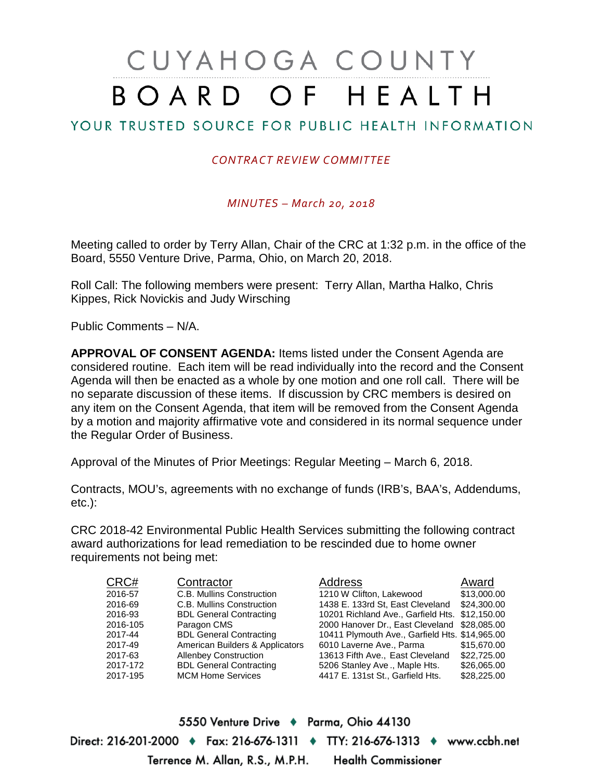# CUYAHOGA COUNTY BOARD OF HEALTH

# YOUR TRUSTED SOURCE FOR PUBLIC HEALTH INFORMATION

## *CONTRACT REVIEW COMMITTEE*

### *MINUTES – March 20, 2018*

Meeting called to order by Terry Allan, Chair of the CRC at 1:32 p.m. in the office of the Board, 5550 Venture Drive, Parma, Ohio, on March 20, 2018.

Roll Call: The following members were present: Terry Allan, Martha Halko, Chris Kippes, Rick Novickis and Judy Wirsching

Public Comments – N/A.

**APPROVAL OF CONSENT AGENDA:** Items listed under the Consent Agenda are considered routine. Each item will be read individually into the record and the Consent Agenda will then be enacted as a whole by one motion and one roll call. There will be no separate discussion of these items. If discussion by CRC members is desired on any item on the Consent Agenda, that item will be removed from the Consent Agenda by a motion and majority affirmative vote and considered in its normal sequence under the Regular Order of Business.

Approval of the Minutes of Prior Meetings: Regular Meeting – March 6, 2018.

Contracts, MOU's, agreements with no exchange of funds (IRB's, BAA's, Addendums, etc.):

CRC 2018-42 Environmental Public Health Services submitting the following contract award authorizations for lead remediation to be rescinded due to home owner requirements not being met:

| CRC#     | Contractor                      | <b>Address</b>                                 | Award       |
|----------|---------------------------------|------------------------------------------------|-------------|
| 2016-57  | C.B. Mullins Construction       | 1210 W Clifton, Lakewood                       | \$13,000.00 |
| 2016-69  | C.B. Mullins Construction       | 1438 E. 133rd St, East Cleveland               | \$24.300.00 |
| 2016-93  | <b>BDL General Contracting</b>  | 10201 Richland Ave., Garfield Hts. \$12,150.00 |             |
| 2016-105 | Paragon CMS                     | 2000 Hanover Dr., East Cleveland \$28,085.00   |             |
| 2017-44  | <b>BDL General Contracting</b>  | 10411 Plymouth Ave., Garfield Hts. \$14,965.00 |             |
| 2017-49  | American Builders & Applicators | 6010 Laverne Ave., Parma                       | \$15,670.00 |
| 2017-63  | <b>Allenbey Construction</b>    | 13613 Fifth Ave., East Cleveland               | \$22,725,00 |
| 2017-172 | <b>BDL General Contracting</b>  | 5206 Stanley Ave., Maple Hts.                  | \$26,065.00 |
| 2017-195 | <b>MCM Home Services</b>        | 4417 E. 131st St., Garfield Hts.               | \$28,225.00 |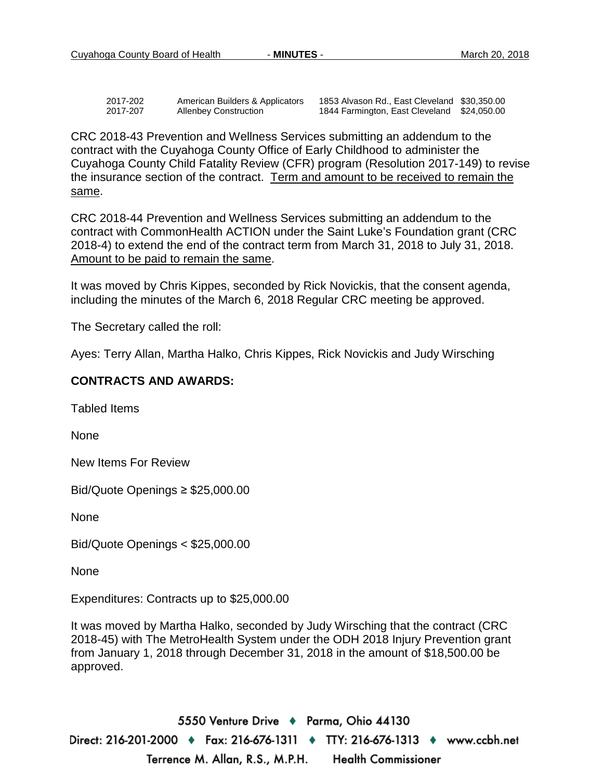| 2017-202 | American Builders & Applicators |
|----------|---------------------------------|
| 2017-207 | <b>Allenbey Construction</b>    |

1853 Alvason Rd., East Cleveland \$30,350.00 1844 Farmington, East Cleveland \$24,050.00

CRC 2018-43 Prevention and Wellness Services submitting an addendum to the contract with the Cuyahoga County Office of Early Childhood to administer the Cuyahoga County Child Fatality Review (CFR) program (Resolution 2017-149) to revise the insurance section of the contract. Term and amount to be received to remain the same.

CRC 2018-44 Prevention and Wellness Services submitting an addendum to the contract with CommonHealth ACTION under the Saint Luke's Foundation grant (CRC 2018-4) to extend the end of the contract term from March 31, 2018 to July 31, 2018. Amount to be paid to remain the same.

It was moved by Chris Kippes, seconded by Rick Novickis, that the consent agenda, including the minutes of the March 6, 2018 Regular CRC meeting be approved.

The Secretary called the roll:

Ayes: Terry Allan, Martha Halko, Chris Kippes, Rick Novickis and Judy Wirsching

#### **CONTRACTS AND AWARDS:**

Tabled Items

None

New Items For Review

Bid/Quote Openings ≥ \$25,000.00

None

Bid/Quote Openings < \$25,000.00

None

Expenditures: Contracts up to \$25,000.00

It was moved by Martha Halko, seconded by Judy Wirsching that the contract (CRC 2018-45) with The MetroHealth System under the ODH 2018 Injury Prevention grant from January 1, 2018 through December 31, 2018 in the amount of \$18,500.00 be approved.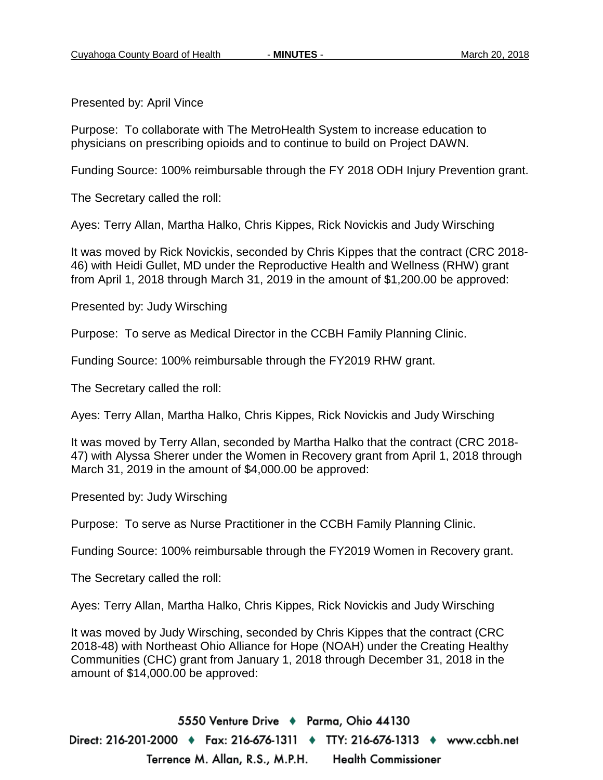Presented by: April Vince

Purpose: To collaborate with The MetroHealth System to increase education to physicians on prescribing opioids and to continue to build on Project DAWN.

Funding Source: 100% reimbursable through the FY 2018 ODH Injury Prevention grant.

The Secretary called the roll:

Ayes: Terry Allan, Martha Halko, Chris Kippes, Rick Novickis and Judy Wirsching

It was moved by Rick Novickis, seconded by Chris Kippes that the contract (CRC 2018- 46) with Heidi Gullet, MD under the Reproductive Health and Wellness (RHW) grant from April 1, 2018 through March 31, 2019 in the amount of \$1,200.00 be approved:

Presented by: Judy Wirsching

Purpose: To serve as Medical Director in the CCBH Family Planning Clinic.

Funding Source: 100% reimbursable through the FY2019 RHW grant.

The Secretary called the roll:

Ayes: Terry Allan, Martha Halko, Chris Kippes, Rick Novickis and Judy Wirsching

It was moved by Terry Allan, seconded by Martha Halko that the contract (CRC 2018- 47) with Alyssa Sherer under the Women in Recovery grant from April 1, 2018 through March 31, 2019 in the amount of \$4,000.00 be approved:

Presented by: Judy Wirsching

Purpose: To serve as Nurse Practitioner in the CCBH Family Planning Clinic.

Funding Source: 100% reimbursable through the FY2019 Women in Recovery grant.

The Secretary called the roll:

Ayes: Terry Allan, Martha Halko, Chris Kippes, Rick Novickis and Judy Wirsching

It was moved by Judy Wirsching, seconded by Chris Kippes that the contract (CRC 2018-48) with Northeast Ohio Alliance for Hope (NOAH) under the Creating Healthy Communities (CHC) grant from January 1, 2018 through December 31, 2018 in the amount of \$14,000.00 be approved: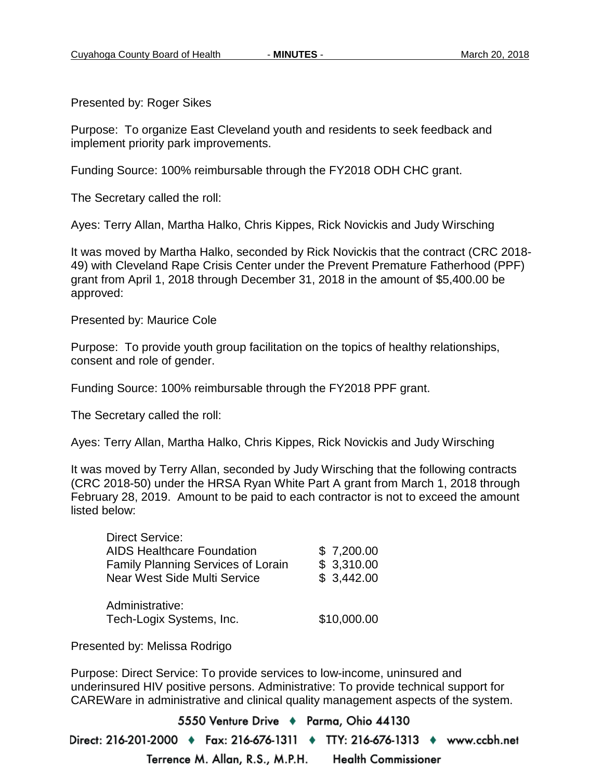Presented by: Roger Sikes

Purpose: To organize East Cleveland youth and residents to seek feedback and implement priority park improvements.

Funding Source: 100% reimbursable through the FY2018 ODH CHC grant.

The Secretary called the roll:

Ayes: Terry Allan, Martha Halko, Chris Kippes, Rick Novickis and Judy Wirsching

It was moved by Martha Halko, seconded by Rick Novickis that the contract (CRC 2018- 49) with Cleveland Rape Crisis Center under the Prevent Premature Fatherhood (PPF) grant from April 1, 2018 through December 31, 2018 in the amount of \$5,400.00 be approved:

Presented by: Maurice Cole

Purpose: To provide youth group facilitation on the topics of healthy relationships, consent and role of gender.

Funding Source: 100% reimbursable through the FY2018 PPF grant.

The Secretary called the roll:

Ayes: Terry Allan, Martha Halko, Chris Kippes, Rick Novickis and Judy Wirsching

It was moved by Terry Allan, seconded by Judy Wirsching that the following contracts (CRC 2018-50) under the HRSA Ryan White Part A grant from March 1, 2018 through February 28, 2019. Amount to be paid to each contractor is not to exceed the amount listed below:

| <b>Direct Service:</b>                    |             |
|-------------------------------------------|-------------|
| <b>AIDS Healthcare Foundation</b>         | \$7,200.00  |
| <b>Family Planning Services of Lorain</b> | \$3,310.00  |
| <b>Near West Side Multi Service</b>       | \$3,442.00  |
| Administrative:                           |             |
| Tech-Logix Systems, Inc.                  | \$10,000.00 |
|                                           |             |

Presented by: Melissa Rodrigo

Purpose: Direct Service: To provide services to low-income, uninsured and underinsured HIV positive persons. Administrative: To provide technical support for CAREWare in administrative and clinical quality management aspects of the system.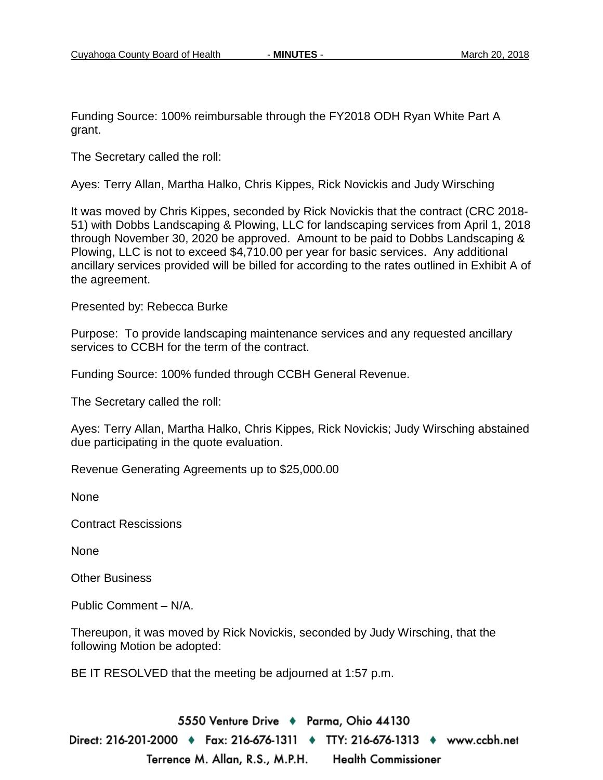Funding Source: 100% reimbursable through the FY2018 ODH Ryan White Part A grant.

The Secretary called the roll:

Ayes: Terry Allan, Martha Halko, Chris Kippes, Rick Novickis and Judy Wirsching

It was moved by Chris Kippes, seconded by Rick Novickis that the contract (CRC 2018- 51) with Dobbs Landscaping & Plowing, LLC for landscaping services from April 1, 2018 through November 30, 2020 be approved. Amount to be paid to Dobbs Landscaping & Plowing, LLC is not to exceed \$4,710.00 per year for basic services. Any additional ancillary services provided will be billed for according to the rates outlined in Exhibit A of the agreement.

Presented by: Rebecca Burke

Purpose: To provide landscaping maintenance services and any requested ancillary services to CCBH for the term of the contract.

Funding Source: 100% funded through CCBH General Revenue.

The Secretary called the roll:

Ayes: Terry Allan, Martha Halko, Chris Kippes, Rick Novickis; Judy Wirsching abstained due participating in the quote evaluation.

Revenue Generating Agreements up to \$25,000.00

None

Contract Rescissions

None

Other Business

Public Comment – N/A.

Thereupon, it was moved by Rick Novickis, seconded by Judy Wirsching, that the following Motion be adopted:

BE IT RESOLVED that the meeting be adjourned at 1:57 p.m.